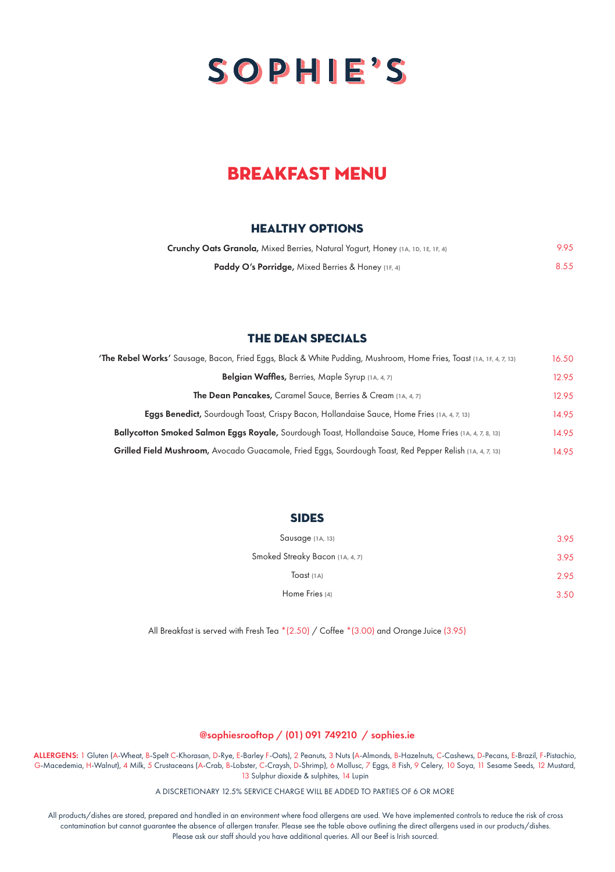

## **BDEAKFAST MENU**

### HEALTHY OPTIONS

| Crunchy Oats Granola, Mixed Berries, Natural Yogurt, Honey (1A, 1D, 1E, 1F, 4) | 9.95 |
|--------------------------------------------------------------------------------|------|
| <b>Paddy O's Porridge, Mixed Berries &amp; Honey (1F, 4)</b>                   | 8.55 |

#### the dean specials

| <b>The Rebel Works'</b> Sausage, Bacon, Fried Eggs, Black & White Pudding, Mushroom, Home Fries, Toast (14, 1F, 4, 7, 13) | 16.50 |
|---------------------------------------------------------------------------------------------------------------------------|-------|
| Belgian Waffles, Berries, Maple Syrup (1A, 4, 7)                                                                          | 12.95 |
| <b>The Dean Pancakes, Caramel Sauce, Berries &amp; Cream (1A, 4, 7)</b>                                                   | 12.95 |
| <b>Eggs Benedict,</b> Sourdough Toast, Crispy Bacon, Hollandaise Sauce, Home Fries (1A, 4, 7, 13)                         | 14.95 |
| Ballycotton Smoked Salmon Eggs Royale, Sourdough Toast, Hollandaise Sauce, Home Fries (1A, 4, 7, 8, 13)                   | 14.95 |
| Grilled Field Mushroom, Avocado Guacamole, Fried Eggs, Sourdough Toast, Red Pepper Relish (14, 4, 7, 13)                  | 14.95 |

#### **SIDES**

| Sausage (1A, 13)                | 3.95 |
|---------------------------------|------|
| Smoked Streaky Bacon (1A, 4, 7) | 3.95 |
| Toast $(1A)$                    | 2.95 |
| Home Fries (4)                  | 3.50 |

All Breakfast is served with Fresh Tea \*(2.50) / Coffee \*(3.00) and Orange Juice (3.95)

#### @sophiesrooftop / (01) 091 749210 / sophies.ie

ALLERGENS: 1 Gluten (A-Wheat, B-Spelt C-Khorasan, D-Rye, E-Barley F-Oats), 2 Peanuts, 3 Nuts (A-Almonds, B-Hazelnuts, C-Cashews, D-Pecans, E-Brazil, F-Pistachio, G-Macedemia, H-Walnut), 4 Milk, 5 Crustaceans (A-Crab, B-Lobster, C-Craysh, D-Shrimp), 6 Mollusc, 7 Eggs, 8 Fish, 9 Celery, 10 Soya, 11 Sesame Seeds, 12 Mustard, 13 Sulphur dioxide & sulphites, 14 Lupin

A DISCRETIONARY 12.5% SERVICE CHARGE WILL BE ADDED TO PARTIES OF 6 OR MORE

All products/dishes are stored, prepared and handled in an environment where food allergens are used. We have implemented controls to reduce the risk of cross contamination but cannot guarantee the absence of allergen transfer. Please see the table above outlining the direct allergens used in our products/dishes. Please ask our staff should you have additional queries. All our Beef is Irish sourced.